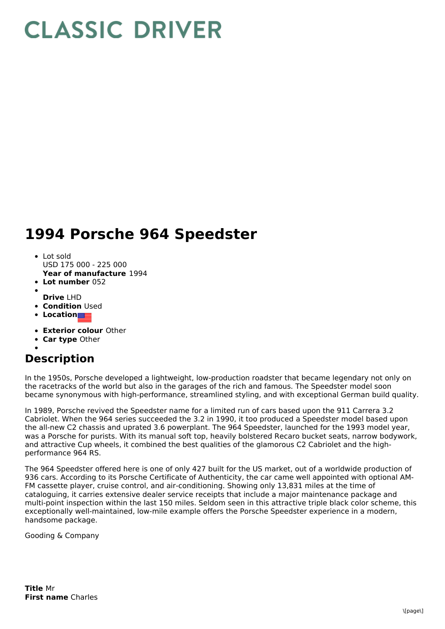## **CLASSIC DRIVER**

## **1994 Porsche 964 Speedster**

- Lot sold USD 175 000 - 225 000
- **Year of manufacture** 1994
- **Lot number** 052
- **Drive** LHD
- **Condition Used**
- **Location**
- **Exterior colour** Other
- **Car type** Other

## **Description**

In the 1950s, Porsche developed a lightweight, low-production roadster that became legendary not only on the racetracks of the world but also in the garages of the rich and famous. The Speedster model soon became synonymous with high-performance, streamlined styling, and with exceptional German build quality.

In 1989, Porsche revived the Speedster name for a limited run of cars based upon the 911 Carrera 3.2 Cabriolet. When the 964 series succeeded the 3.2 in 1990, it too produced a Speedster model based upon the all-new C2 chassis and uprated 3.6 powerplant. The 964 Speedster, launched for the 1993 model year, was a Porsche for purists. With its manual soft top, heavily bolstered Recaro bucket seats, narrow bodywork, and attractive Cup wheels, it combined the best qualities of the glamorous C2 Cabriolet and the highperformance 964 RS.

The 964 Speedster offered here is one of only 427 built for the US market, out of a worldwide production of 936 cars. According to its Porsche Certificate of Authenticity, the car came well appointed with optional AM-FM cassette player, cruise control, and air-conditioning. Showing only 13,831 miles at the time of cataloguing, it carries extensive dealer service receipts that include a major maintenance package and multi-point inspection within the last 150 miles. Seldom seen in this attractive triple black color scheme, this exceptionally well-maintained, low-mile example offers the Porsche Speedster experience in a modern, handsome package.

Gooding & Company